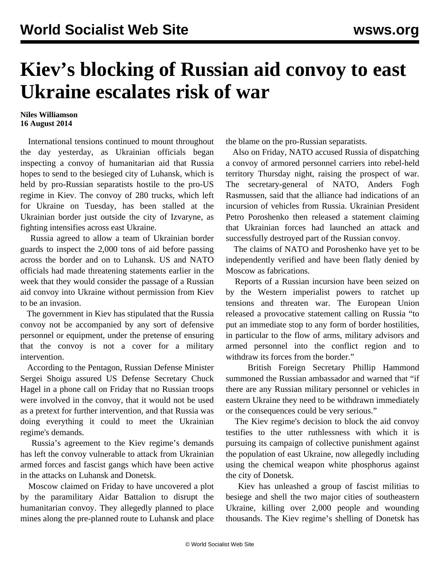## **Kiev's blocking of Russian aid convoy to east Ukraine escalates risk of war**

## **Niles Williamson 16 August 2014**

 International tensions continued to mount throughout the day yesterday, as Ukrainian officials began inspecting a convoy of humanitarian aid that Russia hopes to send to the besieged city of Luhansk, which is held by pro-Russian separatists hostile to the pro-US regime in Kiev. The convoy of 280 trucks, which left for Ukraine on Tuesday, has been stalled at the Ukrainian border just outside the city of Izvaryne, as fighting intensifies across east Ukraine.

 Russia agreed to allow a team of Ukrainian border guards to inspect the 2,000 tons of aid before passing across the border and on to Luhansk. US and NATO officials had made threatening statements earlier in the week that they would consider the passage of a Russian aid convoy into Ukraine without permission from Kiev to be an invasion.

 The government in Kiev has stipulated that the Russia convoy not be accompanied by any sort of defensive personnel or equipment, under the pretense of ensuring that the convoy is not a cover for a military intervention.

 According to the Pentagon, Russian Defense Minister Sergei Shoigu assured US Defense Secretary Chuck Hagel in a phone call on Friday that no Russian troops were involved in the convoy, that it would not be used as a pretext for further intervention, and that Russia was doing everything it could to meet the Ukrainian regime's demands.

 Russia's agreement to the Kiev regime's demands has left the convoy vulnerable to attack from Ukrainian armed forces and fascist gangs which have been active in the attacks on Luhansk and Donetsk.

 Moscow claimed on Friday to have uncovered a plot by the paramilitary Aidar Battalion to disrupt the humanitarian convoy. They allegedly planned to place mines along the pre-planned route to Luhansk and place

the blame on the pro-Russian separatists.

 Also on Friday, NATO accused Russia of dispatching a convoy of armored personnel carriers into rebel-held territory Thursday night, raising the prospect of war. The secretary-general of NATO, Anders Fogh Rasmussen, said that the alliance had indications of an incursion of vehicles from Russia. Ukrainian President Petro Poroshenko then released a statement claiming that Ukrainian forces had launched an attack and successfully destroyed part of the Russian convoy.

 The claims of NATO and Poroshenko have yet to be independently verified and have been flatly denied by Moscow as fabrications.

 Reports of a Russian incursion have been seized on by the Western imperialist powers to ratchet up tensions and threaten war. The European Union released a provocative statement calling on Russia "to put an immediate stop to any form of border hostilities, in particular to the flow of arms, military advisors and armed personnel into the conflict region and to withdraw its forces from the border."

 British Foreign Secretary Phillip Hammond summoned the Russian ambassador and warned that "if there are any Russian military personnel or vehicles in eastern Ukraine they need to be withdrawn immediately or the consequences could be very serious."

 The Kiev regime's decision to block the aid convoy testifies to the utter ruthlessness with which it is pursuing its campaign of collective punishment against the population of east Ukraine, now allegedly including using the chemical weapon white phosphorus against the city of Donetsk.

 Kiev has unleashed a group of fascist militias to besiege and shell the two major cities of southeastern Ukraine, killing over 2,000 people and wounding thousands. The Kiev regime's shelling of Donetsk has